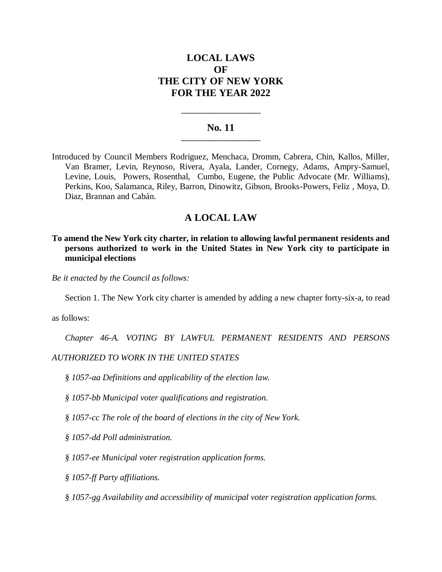# **LOCAL LAWS OF THE CITY OF NEW YORK FOR THE YEAR 2022**

### **No. 11 \_\_\_\_\_\_\_\_\_\_\_\_\_\_\_\_\_\_\_\_\_\_**

**\_\_\_\_\_\_\_\_\_\_\_\_\_\_\_\_\_\_\_\_\_\_**

Introduced by Council Members Rodriguez, Menchaca, Dromm, Cabrera, Chin, Kallos, Miller, Van Bramer, Levin, Reynoso, Rivera, Ayala, Lander, Cornegy, Adams, Ampry-Samuel, Levine, Louis, Powers, Rosenthal, Cumbo, Eugene, the Public Advocate (Mr. Williams), Perkins, Koo, Salamanca, Riley, Barron, Dinowitz, Gibson, Brooks-Powers, Feliz , Moya, D. Diaz, Brannan and Cabán.

## **A LOCAL LAW**

**To amend the New York city charter, in relation to allowing lawful permanent residents and persons authorized to work in the United States in New York city to participate in municipal elections**

*Be it enacted by the Council as follows:*

Section 1. The New York city charter is amended by adding a new chapter forty-six-a, to read

as follows:

*Chapter 46-A. VOTING BY LAWFUL PERMANENT RESIDENTS AND PERSONS* 

### *AUTHORIZED TO WORK IN THE UNITED STATES*

- *§ 1057-aa Definitions and applicability of the election law.*
- *§ 1057-bb Municipal voter qualifications and registration.*
- *§ 1057-cc The role of the board of elections in the city of New York.*
- *§ 1057-dd Poll administration.*
- *§ 1057-ee Municipal voter registration application forms.*
- *§ 1057-ff Party affiliations.*
- *§ 1057-gg Availability and accessibility of municipal voter registration application forms.*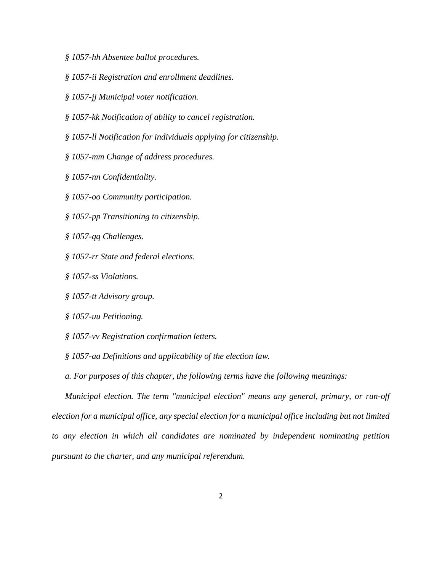- *§ 1057-hh Absentee ballot procedures.*
- *§ 1057-ii Registration and enrollment deadlines.*
- *§ 1057-jj Municipal voter notification.*
- *§ 1057-kk Notification of ability to cancel registration.*
- *§ 1057-ll Notification for individuals applying for citizenship.*
- *§ 1057-mm Change of address procedures.*
- *§ 1057-nn Confidentiality.*
- *§ 1057-oo Community participation.*
- *§ 1057-pp Transitioning to citizenship.*
- *§ 1057-qq Challenges.*
- *§ 1057-rr State and federal elections.*
- *§ 1057-ss Violations.*
- *§ 1057-tt Advisory group.*
- *§ 1057-uu Petitioning.*
- *§ 1057-vv Registration confirmation letters.*
- *§ 1057-aa Definitions and applicability of the election law.*
- *a. For purposes of this chapter, the following terms have the following meanings:*

*Municipal election. The term "municipal election" means any general, primary, or run-off election for a municipal office, any special election for a municipal office including but not limited to any election in which all candidates are nominated by independent nominating petition pursuant to the charter, and any municipal referendum.*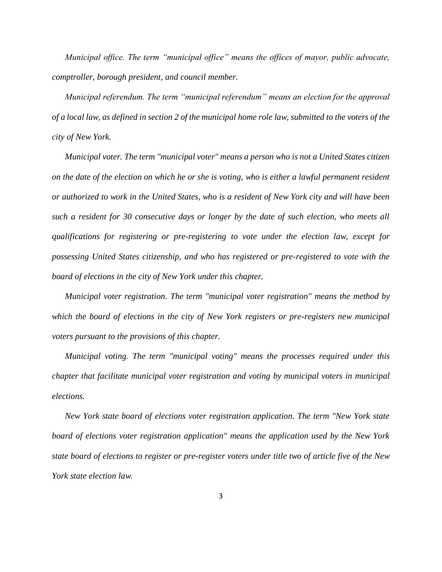*Municipal office. The term "municipal office" means the offices of mayor, public advocate, comptroller, borough president, and council member.*

*Municipal referendum. The term "municipal referendum" means an election for the approval of a local law, as defined in section 2 of the municipal home role law, submitted to the voters of the city of New York.*

*Municipal voter. The term "municipal voter" means a person who is not a United States citizen on the date of the election on which he or she is voting, who is either a lawful permanent resident or authorized to work in the United States, who is a resident of New York city and will have been such a resident for 30 consecutive days or longer by the date of such election, who meets all qualifications for registering or pre-registering to vote under the election law, except for possessing United States citizenship, and who has registered or pre-registered to vote with the board of elections in the city of New York under this chapter.*

*Municipal voter registration. The term "municipal voter registration" means the method by which the board of elections in the city of New York registers or pre-registers new municipal voters pursuant to the provisions of this chapter.*

*Municipal voting. The term "municipal voting" means the processes required under this chapter that facilitate municipal voter registration and voting by municipal voters in municipal elections.* 

*New York state board of elections voter registration application. The term "New York state board of elections voter registration application" means the application used by the New York state board of elections to register or pre-register voters under title two of article five of the New York state election law.*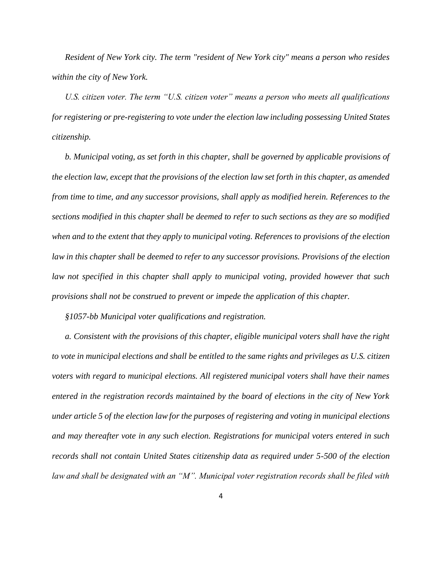*Resident of New York city. The term "resident of New York city" means a person who resides within the city of New York.*

*U.S. citizen voter. The term "U.S. citizen voter" means a person who meets all qualifications for registering or pre-registering to vote under the election law including possessing United States citizenship.*

*b. Municipal voting, as set forth in this chapter, shall be governed by applicable provisions of the election law, except that the provisions of the election law set forth in this chapter, as amended from time to time, and any successor provisions, shall apply as modified herein. References to the sections modified in this chapter shall be deemed to refer to such sections as they are so modified when and to the extent that they apply to municipal voting. References to provisions of the election law in this chapter shall be deemed to refer to any successor provisions. Provisions of the election law not specified in this chapter shall apply to municipal voting, provided however that such provisions shall not be construed to prevent or impede the application of this chapter.*

*§1057-bb Municipal voter qualifications and registration.*

*a. Consistent with the provisions of this chapter, eligible municipal voters shall have the right to vote in municipal elections and shall be entitled to the same rights and privileges as U.S. citizen voters with regard to municipal elections. All registered municipal voters shall have their names entered in the registration records maintained by the board of elections in the city of New York under article 5 of the election law for the purposes of registering and voting in municipal elections and may thereafter vote in any such election. Registrations for municipal voters entered in such records shall not contain United States citizenship data as required under 5-500 of the election law and shall be designated with an "M". Municipal voter registration records shall be filed with*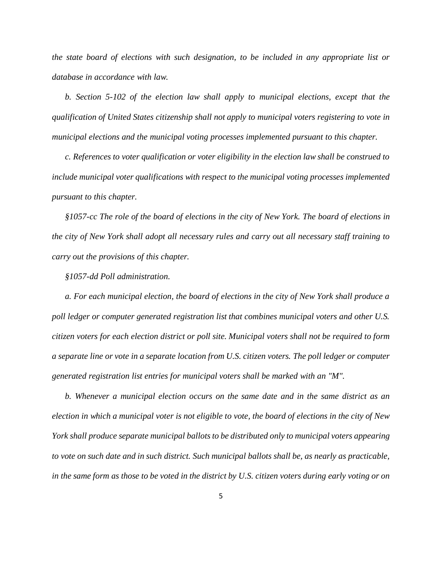*the state board of elections with such designation, to be included in any appropriate list or database in accordance with law.*

*b. Section 5-102 of the election law shall apply to municipal elections, except that the qualification of United States citizenship shall not apply to municipal voters registering to vote in municipal elections and the municipal voting processes implemented pursuant to this chapter.*

*c. References to voter qualification or voter eligibility in the election law shall be construed to include municipal voter qualifications with respect to the municipal voting processes implemented pursuant to this chapter.*

*§1057-cc The role of the board of elections in the city of New York. The board of elections in the city of New York shall adopt all necessary rules and carry out all necessary staff training to carry out the provisions of this chapter.* 

*§1057-dd Poll administration.* 

*a. For each municipal election, the board of elections in the city of New York shall produce a poll ledger or computer generated registration list that combines municipal voters and other U.S. citizen voters for each election district or poll site. Municipal voters shall not be required to form a separate line or vote in a separate location from U.S. citizen voters. The poll ledger or computer generated registration list entries for municipal voters shall be marked with an "M".* 

*b. Whenever a municipal election occurs on the same date and in the same district as an election in which a municipal voter is not eligible to vote, the board of elections in the city of New York shall produce separate municipal ballots to be distributed only to municipal voters appearing to vote on such date and in such district. Such municipal ballots shall be, as nearly as practicable, in the same form as those to be voted in the district by U.S. citizen voters during early voting or on*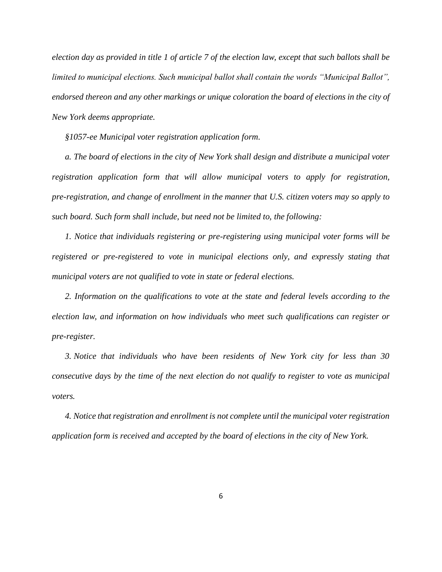*election day as provided in title 1 of article 7 of the election law, except that such ballots shall be limited to municipal elections. Such municipal ballot shall contain the words "Municipal Ballot", endorsed thereon and any other markings or unique coloration the board of elections in the city of New York deems appropriate.*

*§1057-ee Municipal voter registration application form.* 

*a. The board of elections in the city of New York shall design and distribute a municipal voter registration application form that will allow municipal voters to apply for registration, pre-registration, and change of enrollment in the manner that U.S. citizen voters may so apply to such board. Such form shall include, but need not be limited to, the following:*

*1. Notice that individuals registering or pre-registering using municipal voter forms will be registered or pre-registered to vote in municipal elections only, and expressly stating that municipal voters are not qualified to vote in state or federal elections.*

*2. Information on the qualifications to vote at the state and federal levels according to the election law, and information on how individuals who meet such qualifications can register or pre-register.*

*3. Notice that individuals who have been residents of New York city for less than 30 consecutive days by the time of the next election do not qualify to register to vote as municipal voters.*

*4. Notice that registration and enrollment is not complete until the municipal voter registration application form is received and accepted by the board of elections in the city of New York.*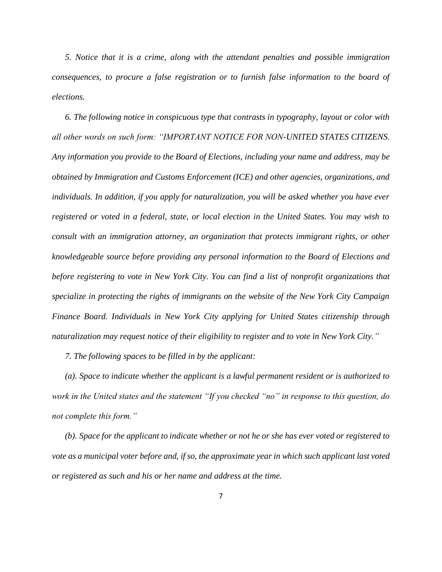*5. Notice that it is a crime, along with the attendant penalties and possible immigration consequences, to procure a false registration or to furnish false information to the board of elections.*

*6. The following notice in conspicuous type that contrasts in typography, layout or color with all other words on such form: "IMPORTANT NOTICE FOR NON-UNITED STATES CITIZENS. Any information you provide to the Board of Elections, including your name and address, may be obtained by Immigration and Customs Enforcement (ICE) and other agencies, organizations, and individuals. In addition, if you apply for naturalization, you will be asked whether you have ever registered or voted in a federal, state, or local election in the United States. You may wish to consult with an immigration attorney, an organization that protects immigrant rights, or other knowledgeable source before providing any personal information to the Board of Elections and before registering to vote in New York City. You can find a list of nonprofit organizations that specialize in protecting the rights of immigrants on the website of the New York City Campaign Finance Board. Individuals in New York City applying for United States citizenship through naturalization may request notice of their eligibility to register and to vote in New York City."*

*7. The following spaces to be filled in by the applicant:*

*(a). Space to indicate whether the applicant is a lawful permanent resident or is authorized to work in the United states and the statement "If you checked "no" in response to this question, do not complete this form."*

*(b). Space for the applicant to indicate whether or not he or she has ever voted or registered to vote as a municipal voter before and, if so, the approximate year in which such applicant last voted or registered as such and his or her name and address at the time.*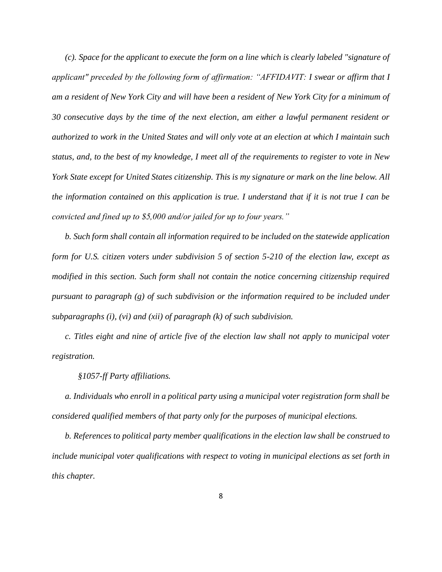*(c). Space for the applicant to execute the form on a line which is clearly labeled "signature of applicant" preceded by the following form of affirmation: "AFFIDAVIT: I swear or affirm that I am a resident of New York City and will have been a resident of New York City for a minimum of 30 consecutive days by the time of the next election, am either a lawful permanent resident or authorized to work in the United States and will only vote at an election at which I maintain such status, and, to the best of my knowledge, I meet all of the requirements to register to vote in New York State except for United States citizenship. This is my signature or mark on the line below. All the information contained on this application is true. I understand that if it is not true I can be convicted and fined up to \$5,000 and/or jailed for up to four years."*

*b. Such form shall contain all information required to be included on the statewide application form for U.S. citizen voters under subdivision 5 of section 5-210 of the election law, except as modified in this section. Such form shall not contain the notice concerning citizenship required pursuant to paragraph (g) of such subdivision or the information required to be included under subparagraphs (i), (vi) and (xii) of paragraph (k) of such subdivision.*

*c. Titles eight and nine of article five of the election law shall not apply to municipal voter registration.* 

*§1057-ff Party affiliations.*

*a. Individuals who enroll in a political party using a municipal voter registration form shall be considered qualified members of that party only for the purposes of municipal elections.*

*b. References to political party member qualifications in the election law shall be construed to include municipal voter qualifications with respect to voting in municipal elections as set forth in this chapter.*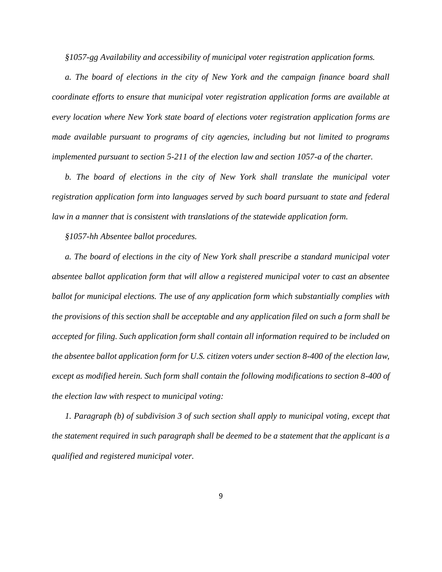*§1057-gg Availability and accessibility of municipal voter registration application forms.* 

*a. The board of elections in the city of New York and the campaign finance board shall coordinate efforts to ensure that municipal voter registration application forms are available at every location where New York state board of elections voter registration application forms are made available pursuant to programs of city agencies, including but not limited to programs implemented pursuant to section 5-211 of the election law and section 1057-a of the charter.* 

*b. The board of elections in the city of New York shall translate the municipal voter registration application form into languages served by such board pursuant to state and federal law in a manner that is consistent with translations of the statewide application form.*

*§1057-hh Absentee ballot procedures.*

*a. The board of elections in the city of New York shall prescribe a standard municipal voter absentee ballot application form that will allow a registered municipal voter to cast an absentee ballot for municipal elections. The use of any application form which substantially complies with the provisions of this section shall be acceptable and any application filed on such a form shall be accepted for filing. Such application form shall contain all information required to be included on the absentee ballot application form for U.S. citizen voters under section 8-400 of the election law, except as modified herein. Such form shall contain the following modifications to section 8-400 of the election law with respect to municipal voting:* 

*1. Paragraph (b) of subdivision 3 of such section shall apply to municipal voting, except that the statement required in such paragraph shall be deemed to be a statement that the applicant is a qualified and registered municipal voter.*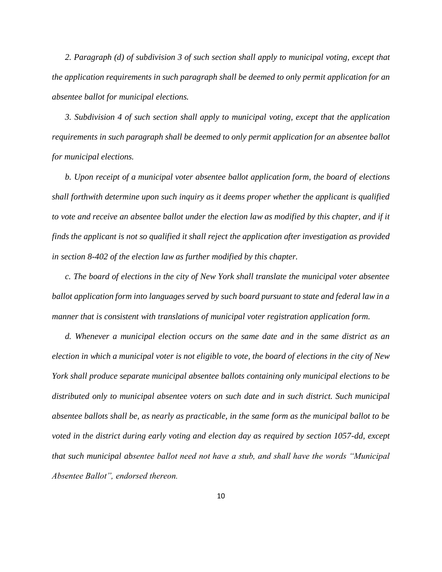*2. Paragraph (d) of subdivision 3 of such section shall apply to municipal voting, except that the application requirements in such paragraph shall be deemed to only permit application for an absentee ballot for municipal elections.*

*3. Subdivision 4 of such section shall apply to municipal voting, except that the application requirements in such paragraph shall be deemed to only permit application for an absentee ballot for municipal elections.*

*b. Upon receipt of a municipal voter absentee ballot application form, the board of elections shall forthwith determine upon such inquiry as it deems proper whether the applicant is qualified to vote and receive an absentee ballot under the election law as modified by this chapter, and if it finds the applicant is not so qualified it shall reject the application after investigation as provided in section 8-402 of the election law as further modified by this chapter.*

*c. The board of elections in the city of New York shall translate the municipal voter absentee ballot application form into languages served by such board pursuant to state and federal law in a manner that is consistent with translations of municipal voter registration application form.*

*d. Whenever a municipal election occurs on the same date and in the same district as an election in which a municipal voter is not eligible to vote, the board of elections in the city of New York shall produce separate municipal absentee ballots containing only municipal elections to be distributed only to municipal absentee voters on such date and in such district. Such municipal absentee ballots shall be, as nearly as practicable, in the same form as the municipal ballot to be voted in the district during early voting and election day as required by section 1057-dd, except that such municipal absentee ballot need not have a stub, and shall have the words "Municipal Absentee Ballot", endorsed thereon.*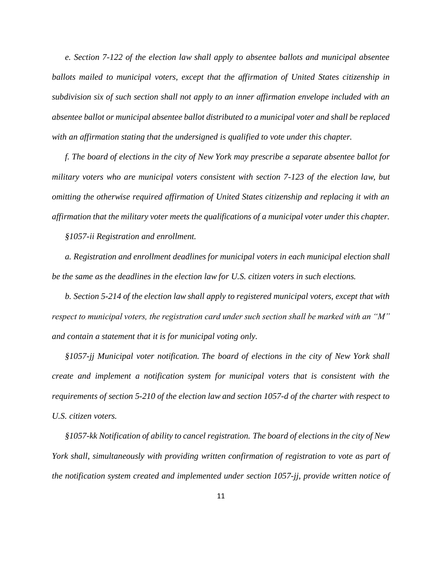*e. Section 7-122 of the election law shall apply to absentee ballots and municipal absentee ballots mailed to municipal voters, except that the affirmation of United States citizenship in subdivision six of such section shall not apply to an inner affirmation envelope included with an absentee ballot or municipal absentee ballot distributed to a municipal voter and shall be replaced with an affirmation stating that the undersigned is qualified to vote under this chapter.*

*f. The board of elections in the city of New York may prescribe a separate absentee ballot for military voters who are municipal voters consistent with section 7-123 of the election law, but omitting the otherwise required affirmation of United States citizenship and replacing it with an affirmation that the military voter meets the qualifications of a municipal voter under this chapter.* 

*§1057-ii Registration and enrollment.*

*a. Registration and enrollment deadlines for municipal voters in each municipal election shall be the same as the deadlines in the election law for U.S. citizen voters in such elections.* 

*b. Section 5-214 of the election law shall apply to registered municipal voters, except that with respect to municipal voters, the registration card under such section shall be marked with an "M" and contain a statement that it is for municipal voting only.*

*§1057-jj Municipal voter notification. The board of elections in the city of New York shall create and implement a notification system for municipal voters that is consistent with the requirements of section 5-210 of the election law and section 1057-d of the charter with respect to U.S. citizen voters.*

*§1057-kk Notification of ability to cancel registration. The board of elections in the city of New York shall, simultaneously with providing written confirmation of registration to vote as part of the notification system created and implemented under section 1057-jj, provide written notice of*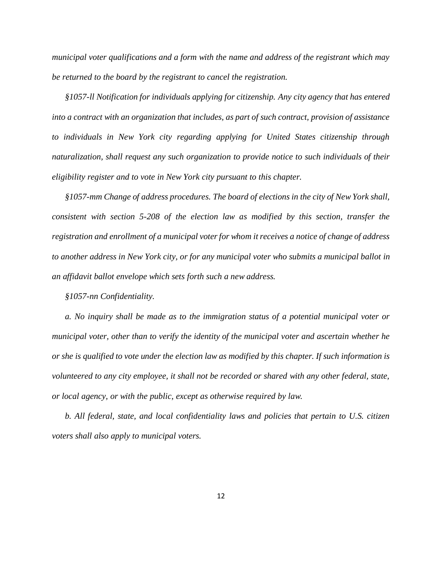*municipal voter qualifications and a form with the name and address of the registrant which may be returned to the board by the registrant to cancel the registration.*

*§1057-ll Notification for individuals applying for citizenship. Any city agency that has entered into a contract with an organization that includes, as part of such contract, provision of assistance to individuals in New York city regarding applying for United States citizenship through naturalization, shall request any such organization to provide notice to such individuals of their eligibility register and to vote in New York city pursuant to this chapter.* 

*§1057-mm Change of address procedures. The board of elections in the city of New York shall, consistent with section 5-208 of the election law as modified by this section, transfer the registration and enrollment of a municipal voter for whom it receives a notice of change of address to another address in New York city, or for any municipal voter who submits a municipal ballot in an affidavit ballot envelope which sets forth such a new address.*

*§1057-nn Confidentiality.* 

*a. No inquiry shall be made as to the immigration status of a potential municipal voter or municipal voter, other than to verify the identity of the municipal voter and ascertain whether he or she is qualified to vote under the election law as modified by this chapter. If such information is volunteered to any city employee, it shall not be recorded or shared with any other federal, state, or local agency, or with the public, except as otherwise required by law.*

*b. All federal, state, and local confidentiality laws and policies that pertain to U.S. citizen voters shall also apply to municipal voters.*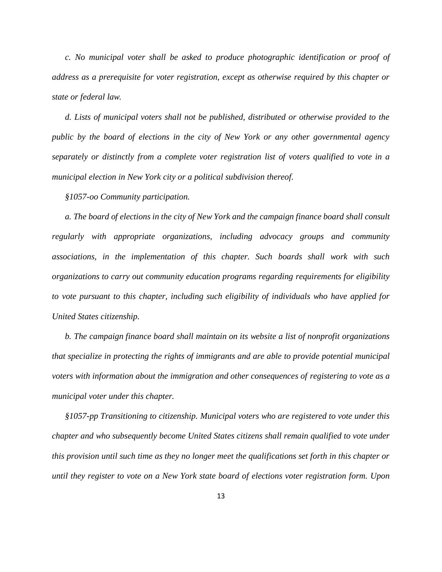*c. No municipal voter shall be asked to produce photographic identification or proof of address as a prerequisite for voter registration, except as otherwise required by this chapter or state or federal law.*

*d. Lists of municipal voters shall not be published, distributed or otherwise provided to the public by the board of elections in the city of New York or any other governmental agency separately or distinctly from a complete voter registration list of voters qualified to vote in a municipal election in New York city or a political subdivision thereof.*

*§1057-oo Community participation.*

*a. The board of elections in the city of New York and the campaign finance board shall consult regularly with appropriate organizations, including advocacy groups and community associations, in the implementation of this chapter. Such boards shall work with such organizations to carry out community education programs regarding requirements for eligibility to vote pursuant to this chapter, including such eligibility of individuals who have applied for United States citizenship.*

*b. The campaign finance board shall maintain on its website a list of nonprofit organizations that specialize in protecting the rights of immigrants and are able to provide potential municipal voters with information about the immigration and other consequences of registering to vote as a municipal voter under this chapter.*

*§1057-pp Transitioning to citizenship. Municipal voters who are registered to vote under this chapter and who subsequently become United States citizens shall remain qualified to vote under this provision until such time as they no longer meet the qualifications set forth in this chapter or until they register to vote on a New York state board of elections voter registration form. Upon*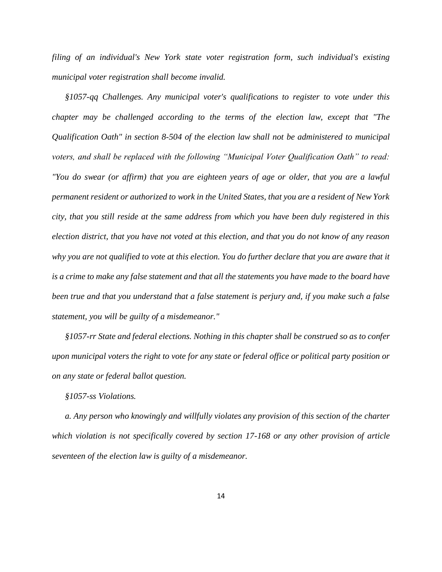*filing of an individual's New York state voter registration form, such individual's existing municipal voter registration shall become invalid.*

*§1057-qq Challenges. Any municipal voter's qualifications to register to vote under this chapter may be challenged according to the terms of the election law, except that "The Qualification Oath" in section 8-504 of the election law shall not be administered to municipal voters, and shall be replaced with the following "Municipal Voter Qualification Oath" to read: "You do swear (or affirm) that you are eighteen years of age or older, that you are a lawful permanent resident or authorized to work in the United States, that you are a resident of New York city, that you still reside at the same address from which you have been duly registered in this election district, that you have not voted at this election, and that you do not know of any reason why you are not qualified to vote at this election. You do further declare that you are aware that it is a crime to make any false statement and that all the statements you have made to the board have been true and that you understand that a false statement is perjury and, if you make such a false statement, you will be guilty of a misdemeanor."*

*§1057-rr State and federal elections. Nothing in this chapter shall be construed so as to confer upon municipal voters the right to vote for any state or federal office or political party position or on any state or federal ballot question.*

*§1057-ss Violations.* 

*a. Any person who knowingly and willfully violates any provision of this section of the charter which violation is not specifically covered by section 17-168 or any other provision of article seventeen of the election law is guilty of a misdemeanor.*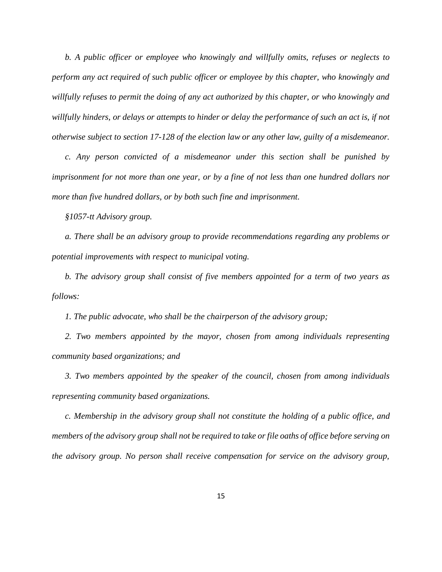*b. A public officer or employee who knowingly and willfully omits, refuses or neglects to perform any act required of such public officer or employee by this chapter, who knowingly and willfully refuses to permit the doing of any act authorized by this chapter, or who knowingly and willfully hinders, or delays or attempts to hinder or delay the performance of such an act is, if not otherwise subject to section 17-128 of the election law or any other law, guilty of a misdemeanor.*

*c. Any person convicted of a misdemeanor under this section shall be punished by imprisonment for not more than one year, or by a fine of not less than one hundred dollars nor more than five hundred dollars, or by both such fine and imprisonment.*

*§1057-tt Advisory group.* 

*a. There shall be an advisory group to provide recommendations regarding any problems or potential improvements with respect to municipal voting.*

*b. The advisory group shall consist of five members appointed for a term of two years as follows:*

*1. The public advocate, who shall be the chairperson of the advisory group;*

2. Two members appointed by the mayor, chosen from among individuals representing *community based organizations; and*

*3. Two members appointed by the speaker of the council, chosen from among individuals representing community based organizations.*

*c. Membership in the advisory group shall not constitute the holding of a public office, and members of the advisory group shall not be required to take or file oaths of office before serving on the advisory group. No person shall receive compensation for service on the advisory group,*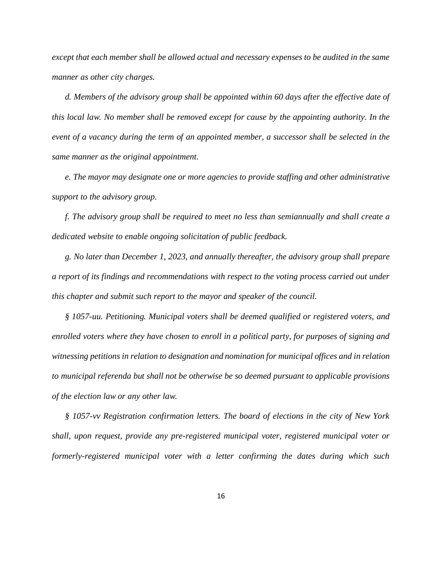*except that each member shall be allowed actual and necessary expenses to be audited in the same manner as other city charges.*

*d. Members of the advisory group shall be appointed within 60 days after the effective date of this local law. No member shall be removed except for cause by the appointing authority. In the event of a vacancy during the term of an appointed member, a successor shall be selected in the same manner as the original appointment.*

*e. The mayor may designate one or more agencies to provide staffing and other administrative support to the advisory group.*

*f. The advisory group shall be required to meet no less than semiannually and shall create a dedicated website to enable ongoing solicitation of public feedback.*

*g. No later than December 1, 2023, and annually thereafter, the advisory group shall prepare a report of its findings and recommendations with respect to the voting process carried out under this chapter and submit such report to the mayor and speaker of the council.* 

*§ 1057-uu. Petitioning. Municipal voters shall be deemed qualified or registered voters, and enrolled voters where they have chosen to enroll in a political party, for purposes of signing and witnessing petitions in relation to designation and nomination for municipal offices and in relation to municipal referenda but shall not be otherwise be so deemed pursuant to applicable provisions of the election law or any other law.*

*§ 1057-vv Registration confirmation letters. The board of elections in the city of New York shall, upon request, provide any pre-registered municipal voter, registered municipal voter or formerly-registered municipal voter with a letter confirming the dates during which such*